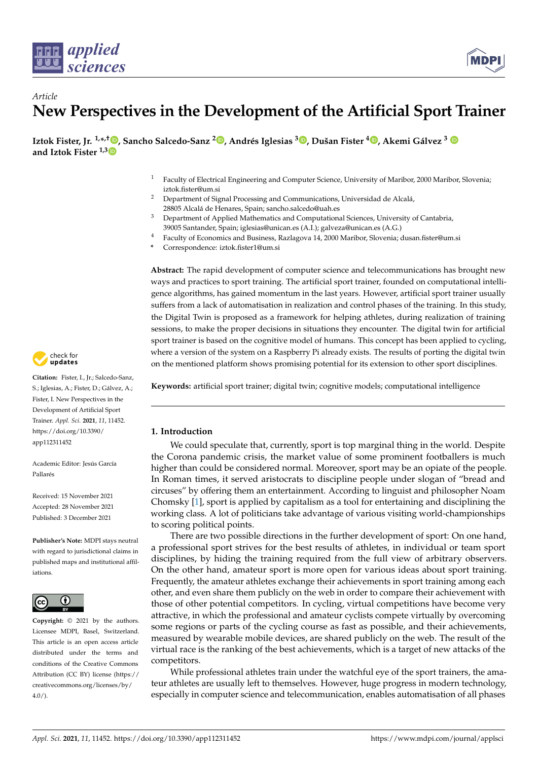



**Iztok Fister, Jr. 1,\* ,† [,](https://orcid.org/0000-0002-6418-1272) Sancho Salcedo-Sanz [2](https://orcid.org/0000-0002-4048-1676) , Andrés Iglesias <sup>3</sup> [,](https://orcid.org/0000-0002-5672-8274) Dušan Fister [4](https://orcid.org/0000-0002-9604-0554) , Akemi Gálvez <sup>3</sup> and Iztok Fister 1,[3](https://orcid.org/0000-0002-9964-6957)**

- <sup>1</sup> Faculty of Electrical Engineering and Computer Science, University of Maribor, 2000 Maribor, Slovenia; iztok.fister@um.si
- <sup>2</sup> Department of Signal Processing and Communications, Universidad de Alcalá, 28805 Alcalá de Henares, Spain; sancho.salcedo@uah.es
- <sup>3</sup> Department of Applied Mathematics and Computational Sciences, University of Cantabria, 39005 Santander, Spain; iglesias@unican.es (A.I.); galveza@unican.es (A.G.)
- <sup>4</sup> Faculty of Economics and Business, Razlagova 14, 2000 Maribor, Slovenia; dusan.fister@um.si
- **\*** Correspondence: iztok.fister1@um.si

**Abstract:** The rapid development of computer science and telecommunications has brought new ways and practices to sport training. The artificial sport trainer, founded on computational intelligence algorithms, has gained momentum in the last years. However, artificial sport trainer usually suffers from a lack of automatisation in realization and control phases of the training. In this study, the Digital Twin is proposed as a framework for helping athletes, during realization of training sessions, to make the proper decisions in situations they encounter. The digital twin for artificial sport trainer is based on the cognitive model of humans. This concept has been applied to cycling, where a version of the system on a Raspberry Pi already exists. The results of porting the digital twin on the mentioned platform shows promising potential for its extension to other sport disciplines.

**Keywords:** artificial sport trainer; digital twin; cognitive models; computational intelligence

## **1. Introduction**

We could speculate that, currently, sport is top marginal thing in the world. Despite the Corona pandemic crisis, the market value of some prominent footballers is much higher than could be considered normal. Moreover, sport may be an opiate of the people. In Roman times, it served aristocrats to discipline people under slogan of "bread and circuses" by offering them an entertainment. According to linguist and philosopher Noam Chomsky [\[1\]](#page-12-0), sport is applied by capitalism as a tool for entertaining and disciplining the working class. A lot of politicians take advantage of various visiting world-championships to scoring political points.

There are two possible directions in the further development of sport: On one hand, a professional sport strives for the best results of athletes, in individual or team sport disciplines, by hiding the training required from the full view of arbitrary observers. On the other hand, amateur sport is more open for various ideas about sport training. Frequently, the amateur athletes exchange their achievements in sport training among each other, and even share them publicly on the web in order to compare their achievement with those of other potential competitors. In cycling, virtual competitions have become very attractive, in which the professional and amateur cyclists compete virtually by overcoming some regions or parts of the cycling course as fast as possible, and their achievements, measured by wearable mobile devices, are shared publicly on the web. The result of the virtual race is the ranking of the best achievements, which is a target of new attacks of the competitors.

While professional athletes train under the watchful eye of the sport trainers, the amateur athletes are usually left to themselves. However, huge progress in modern technology, especially in computer science and telecommunication, enables automatisation of all phases



**Citation:** Fister, I., Jr.; Salcedo-Sanz, S.; Iglesias, A.; Fister, D.; Gálvez, A.; Fister, I. New Perspectives in the Development of Artificial Sport Trainer. *Appl. Sci.* **2021**, *11*, 11452. [https://doi.org/10.3390/](https://doi.org/10.3390/app112311452) [app112311452](https://doi.org/10.3390/app112311452)

Academic Editor: Jesús García Pallarés

Received: 15 November 2021 Accepted: 28 November 2021 Published: 3 December 2021

**Publisher's Note:** MDPI stays neutral with regard to jurisdictional claims in published maps and institutional affiliations.



**Copyright:** © 2021 by the authors. Licensee MDPI, Basel, Switzerland. This article is an open access article distributed under the terms and conditions of the Creative Commons Attribution (CC BY) license (https:/[/](https://creativecommons.org/licenses/by/4.0/) [creativecommons.org/licenses/by/](https://creativecommons.org/licenses/by/4.0/)  $4.0/$ ).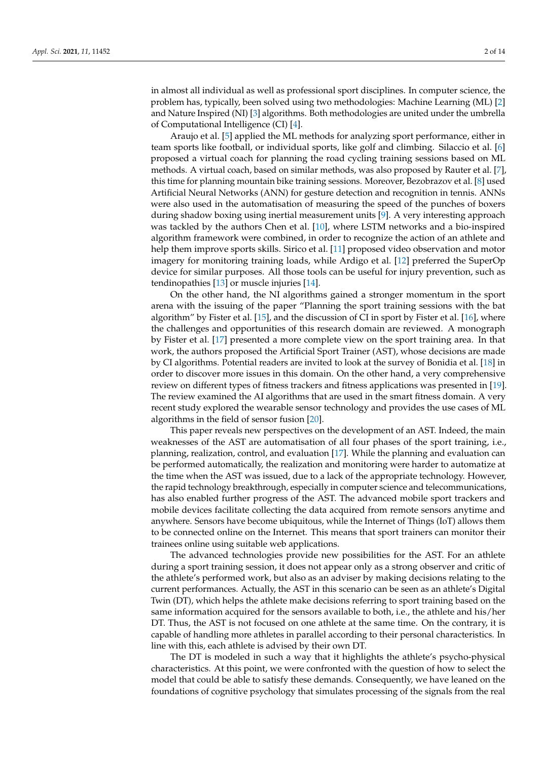in almost all individual as well as professional sport disciplines. In computer science, the problem has, typically, been solved using two methodologies: Machine Learning (ML) [\[2\]](#page-12-1) and Nature Inspired (NI) [\[3\]](#page-12-2) algorithms. Both methodologies are united under the umbrella of Computational Intelligence (CI) [\[4\]](#page-12-3).

Araujo et al. [\[5\]](#page-12-4) applied the ML methods for analyzing sport performance, either in team sports like football, or individual sports, like golf and climbing. Silaccio et al. [\[6\]](#page-12-5) proposed a virtual coach for planning the road cycling training sessions based on ML methods. A virtual coach, based on similar methods, was also proposed by Rauter et al. [\[7\]](#page-12-6), this time for planning mountain bike training sessions. Moreover, Bezobrazov et al. [\[8\]](#page-12-7) used Artificial Neural Networks (ANN) for gesture detection and recognition in tennis. ANNs were also used in the automatisation of measuring the speed of the punches of boxers during shadow boxing using inertial measurement units [\[9\]](#page-12-8). A very interesting approach was tackled by the authors Chen et al. [\[10\]](#page-12-9), where LSTM networks and a bio-inspired algorithm framework were combined, in order to recognize the action of an athlete and help them improve sports skills. Sirico et al. [\[11\]](#page-13-0) proposed video observation and motor imagery for monitoring training loads, while Ardigo et al. [\[12\]](#page-13-1) preferred the SuperOp device for similar purposes. All those tools can be useful for injury prevention, such as tendinopathies [\[13\]](#page-13-2) or muscle injuries [\[14\]](#page-13-3).

On the other hand, the NI algorithms gained a stronger momentum in the sport arena with the issuing of the paper "Planning the sport training sessions with the bat algorithm" by Fister et al. [\[15\]](#page-13-4), and the discussion of CI in sport by Fister et al. [\[16\]](#page-13-5), where the challenges and opportunities of this research domain are reviewed. A monograph by Fister et al. [\[17\]](#page-13-6) presented a more complete view on the sport training area. In that work, the authors proposed the Artificial Sport Trainer (AST), whose decisions are made by CI algorithms. Potential readers are invited to look at the survey of Bonidia et al. [\[18\]](#page-13-7) in order to discover more issues in this domain. On the other hand, a very comprehensive review on different types of fitness trackers and fitness applications was presented in [\[19\]](#page-13-8). The review examined the AI algorithms that are used in the smart fitness domain. A very recent study explored the wearable sensor technology and provides the use cases of ML algorithms in the field of sensor fusion [\[20\]](#page-13-9).

This paper reveals new perspectives on the development of an AST. Indeed, the main weaknesses of the AST are automatisation of all four phases of the sport training, i.e., planning, realization, control, and evaluation [\[17\]](#page-13-6). While the planning and evaluation can be performed automatically, the realization and monitoring were harder to automatize at the time when the AST was issued, due to a lack of the appropriate technology. However, the rapid technology breakthrough, especially in computer science and telecommunications, has also enabled further progress of the AST. The advanced mobile sport trackers and mobile devices facilitate collecting the data acquired from remote sensors anytime and anywhere. Sensors have become ubiquitous, while the Internet of Things (IoT) allows them to be connected online on the Internet. This means that sport trainers can monitor their trainees online using suitable web applications.

The advanced technologies provide new possibilities for the AST. For an athlete during a sport training session, it does not appear only as a strong observer and critic of the athlete's performed work, but also as an adviser by making decisions relating to the current performances. Actually, the AST in this scenario can be seen as an athlete's Digital Twin (DT), which helps the athlete make decisions referring to sport training based on the same information acquired for the sensors available to both, i.e., the athlete and his/her DT. Thus, the AST is not focused on one athlete at the same time. On the contrary, it is capable of handling more athletes in parallel according to their personal characteristics. In line with this, each athlete is advised by their own DT.

The DT is modeled in such a way that it highlights the athlete's psycho-physical characteristics. At this point, we were confronted with the question of how to select the model that could be able to satisfy these demands. Consequently, we have leaned on the foundations of cognitive psychology that simulates processing of the signals from the real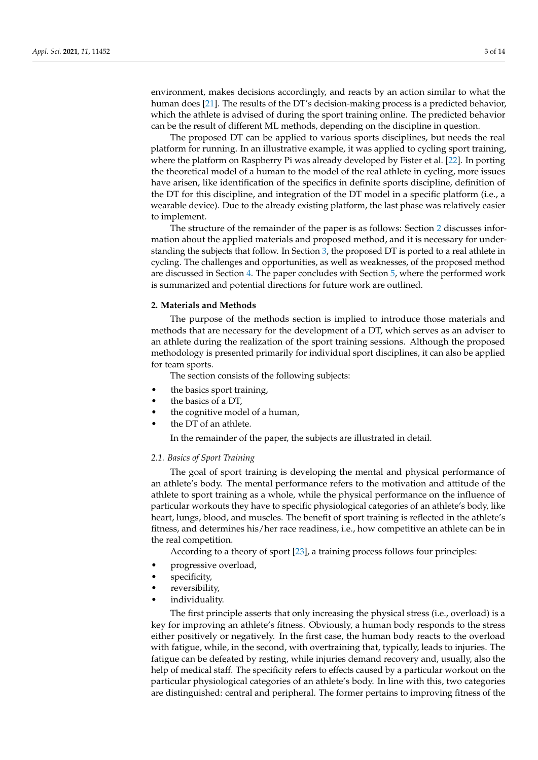environment, makes decisions accordingly, and reacts by an action similar to what the human does [\[21\]](#page-13-10). The results of the DT's decision-making process is a predicted behavior, which the athlete is advised of during the sport training online. The predicted behavior can be the result of different ML methods, depending on the discipline in question.

The proposed DT can be applied to various sports disciplines, but needs the real platform for running. In an illustrative example, it was applied to cycling sport training, where the platform on Raspberry Pi was already developed by Fister et al. [\[22\]](#page-13-11). In porting the theoretical model of a human to the model of the real athlete in cycling, more issues have arisen, like identification of the specifics in definite sports discipline, definition of the DT for this discipline, and integration of the DT model in a specific platform (i.e., a wearable device). Due to the already existing platform, the last phase was relatively easier to implement.

The structure of the remainder of the paper is as follows: Section [2](#page-2-0) discusses information about the applied materials and proposed method, and it is necessary for understanding the subjects that follow. In Section [3,](#page-6-0) the proposed DT is ported to a real athlete in cycling. The challenges and opportunities, as well as weaknesses, of the proposed method are discussed in Section [4.](#page-11-0) The paper concludes with Section [5,](#page-11-1) where the performed work is summarized and potential directions for future work are outlined.

#### <span id="page-2-0"></span>**2. Materials and Methods**

The purpose of the methods section is implied to introduce those materials and methods that are necessary for the development of a DT, which serves as an adviser to an athlete during the realization of the sport training sessions. Although the proposed methodology is presented primarily for individual sport disciplines, it can also be applied for team sports.

The section consists of the following subjects:

- the basics sport training,
- the basics of a DT,
- the cognitive model of a human,
- the DT of an athlete.

In the remainder of the paper, the subjects are illustrated in detail.

# *2.1. Basics of Sport Training*

The goal of sport training is developing the mental and physical performance of an athlete's body. The mental performance refers to the motivation and attitude of the athlete to sport training as a whole, while the physical performance on the influence of particular workouts they have to specific physiological categories of an athlete's body, like heart, lungs, blood, and muscles. The benefit of sport training is reflected in the athlete's fitness, and determines his/her race readiness, i.e., how competitive an athlete can be in the real competition.

According to a theory of sport [\[23\]](#page-13-12), a training process follows four principles:

- progressive overload,
- specificity,
- reversibility,
- individuality.

The first principle asserts that only increasing the physical stress (i.e., overload) is a key for improving an athlete's fitness. Obviously, a human body responds to the stress either positively or negatively. In the first case, the human body reacts to the overload with fatigue, while, in the second, with overtraining that, typically, leads to injuries. The fatigue can be defeated by resting, while injuries demand recovery and, usually, also the help of medical staff. The specificity refers to effects caused by a particular workout on the particular physiological categories of an athlete's body. In line with this, two categories are distinguished: central and peripheral. The former pertains to improving fitness of the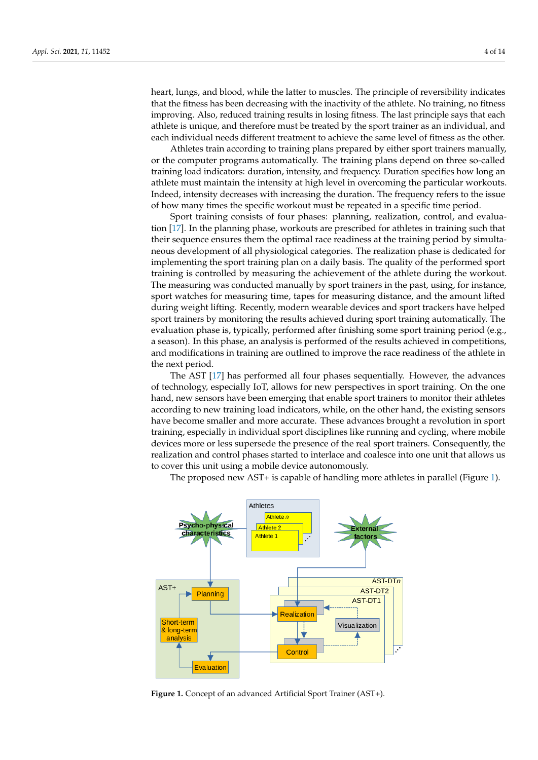heart, lungs, and blood, while the latter to muscles. The principle of reversibility indicates that the fitness has been decreasing with the inactivity of the athlete. No training, no fitness improving. Also, reduced training results in losing fitness. The last principle says that each athlete is unique, and therefore must be treated by the sport trainer as an individual, and each individual needs different treatment to achieve the same level of fitness as the other.

Athletes train according to training plans prepared by either sport trainers manually, or the computer programs automatically. The training plans depend on three so-called training load indicators: duration, intensity, and frequency. Duration specifies how long an athlete must maintain the intensity at high level in overcoming the particular workouts. Indeed, intensity decreases with increasing the duration. The frequency refers to the issue of how many times the specific workout must be repeated in a specific time period.

Sport training consists of four phases: planning, realization, control, and evaluation [\[17\]](#page-13-6). In the planning phase, workouts are prescribed for athletes in training such that their sequence ensures them the optimal race readiness at the training period by simultaneous development of all physiological categories. The realization phase is dedicated for implementing the sport training plan on a daily basis. The quality of the performed sport training is controlled by measuring the achievement of the athlete during the workout. The measuring was conducted manually by sport trainers in the past, using, for instance, sport watches for measuring time, tapes for measuring distance, and the amount lifted during weight lifting. Recently, modern wearable devices and sport trackers have helped sport trainers by monitoring the results achieved during sport training automatically. The evaluation phase is, typically, performed after finishing some sport training period (e.g., a season). In this phase, an analysis is performed of the results achieved in competitions, and modifications in training are outlined to improve the race readiness of the athlete in the next period.

The AST [\[17\]](#page-13-6) has performed all four phases sequentially. However, the advances of technology, especially IoT, allows for new perspectives in sport training. On the one hand, new sensors have been emerging that enable sport trainers to monitor their athletes according to new training load indicators, while, on the other hand, the existing sensors have become smaller and more accurate. These advances brought a revolution in sport training, especially in individual sport disciplines like running and cycling, where mobile devices more or less supersede the presence of the real sport trainers. Consequently, the realization and control phases started to interlace and coalesce into one unit that allows us to cover this unit using a mobile device autonomously.

The proposed new AST+ is capable of handling more athletes in parallel (Figure [1\)](#page-3-0).

<span id="page-3-0"></span>

**Figure 1.** Concept of an advanced Artificial Sport Trainer (AST+).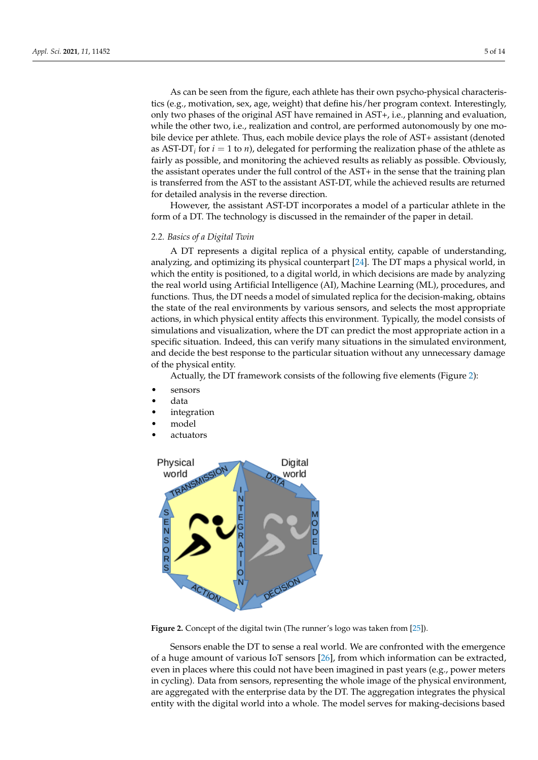As can be seen from the figure, each athlete has their own psycho-physical characteristics (e.g., motivation, sex, age, weight) that define his/her program context. Interestingly, only two phases of the original AST have remained in AST+, i.e., planning and evaluation, while the other two, i.e., realization and control, are performed autonomously by one mobile device per athlete. Thus, each mobile device plays the role of AST+ assistant (denoted as  $AST-DT_i$  for  $i = 1$  to *n*), delegated for performing the realization phase of the athlete as fairly as possible, and monitoring the achieved results as reliably as possible. Obviously, the assistant operates under the full control of the AST+ in the sense that the training plan is transferred from the AST to the assistant AST-DT, while the achieved results are returned for detailed analysis in the reverse direction.

However, the assistant AST-DT incorporates a model of a particular athlete in the form of a DT. The technology is discussed in the remainder of the paper in detail.

#### *2.2. Basics of a Digital Twin*

A DT represents a digital replica of a physical entity, capable of understanding, analyzing, and optimizing its physical counterpart [\[24\]](#page-13-13). The DT maps a physical world, in which the entity is positioned, to a digital world, in which decisions are made by analyzing the real world using Artificial Intelligence (AI), Machine Learning (ML), procedures, and functions. Thus, the DT needs a model of simulated replica for the decision-making, obtains the state of the real environments by various sensors, and selects the most appropriate actions, in which physical entity affects this environment. Typically, the model consists of simulations and visualization, where the DT can predict the most appropriate action in a specific situation. Indeed, this can verify many situations in the simulated environment, and decide the best response to the particular situation without any unnecessary damage of the physical entity.

Actually, the DT framework consists of the following five elements (Figure [2\)](#page-4-0):

- sensors
- data
- *integration*
- model
	- actuators

<span id="page-4-0"></span>

**Figure 2.** Concept of the digital twin (The runner's logo was taken from [\[25\]](#page-13-14)).

Sensors enable the DT to sense a real world. We are confronted with the emergence of a huge amount of various IoT sensors [\[26\]](#page-13-15), from which information can be extracted, even in places where this could not have been imagined in past years (e.g., power meters in cycling). Data from sensors, representing the whole image of the physical environment, are aggregated with the enterprise data by the DT. The aggregation integrates the physical entity with the digital world into a whole. The model serves for making-decisions based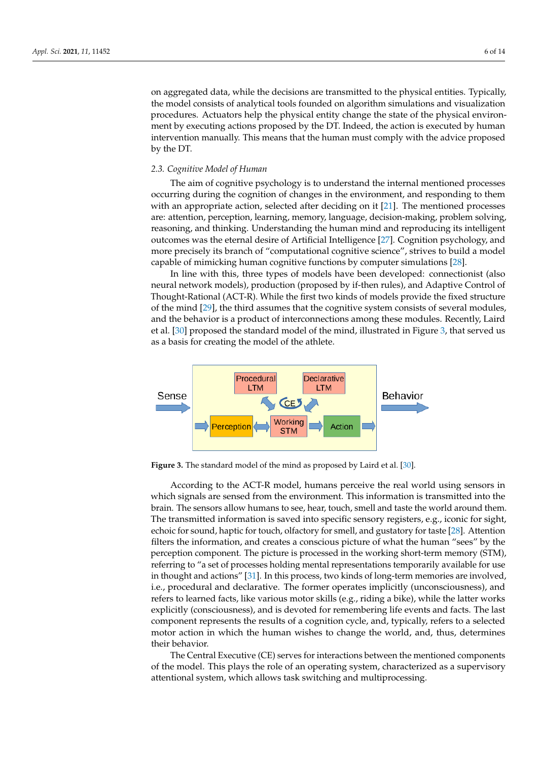on aggregated data, while the decisions are transmitted to the physical entities. Typically, the model consists of analytical tools founded on algorithm simulations and visualization procedures. Actuators help the physical entity change the state of the physical environment by executing actions proposed by the DT. Indeed, the action is executed by human intervention manually. This means that the human must comply with the advice proposed by the DT.

#### *2.3. Cognitive Model of Human*

The aim of cognitive psychology is to understand the internal mentioned processes occurring during the cognition of changes in the environment, and responding to them with an appropriate action, selected after deciding on it [\[21\]](#page-13-10). The mentioned processes are: attention, perception, learning, memory, language, decision-making, problem solving, reasoning, and thinking. Understanding the human mind and reproducing its intelligent outcomes was the eternal desire of Artificial Intelligence [\[27\]](#page-13-16). Cognition psychology, and more precisely its branch of "computational cognitive science", strives to build a model capable of mimicking human cognitive functions by computer simulations [\[28\]](#page-13-17).

In line with this, three types of models have been developed: connectionist (also neural network models), production (proposed by if-then rules), and Adaptive Control of Thought-Rational (ACT-R). While the first two kinds of models provide the fixed structure of the mind [\[29\]](#page-13-18), the third assumes that the cognitive system consists of several modules, and the behavior is a product of interconnections among these modules. Recently, Laird et al. [\[30\]](#page-13-19) proposed the standard model of the mind, illustrated in Figure [3,](#page-5-0) that served us as a basis for creating the model of the athlete.

<span id="page-5-0"></span>

**Figure 3.** The standard model of the mind as proposed by Laird et al. [\[30\]](#page-13-19).

According to the ACT-R model, humans perceive the real world using sensors in which signals are sensed from the environment. This information is transmitted into the brain. The sensors allow humans to see, hear, touch, smell and taste the world around them. The transmitted information is saved into specific sensory registers, e.g., iconic for sight, echoic for sound, haptic for touch, olfactory for smell, and gustatory for taste [\[28\]](#page-13-17). Attention filters the information, and creates a conscious picture of what the human "sees" by the perception component. The picture is processed in the working short-term memory (STM), referring to "a set of processes holding mental representations temporarily available for use in thought and actions" [\[31\]](#page-13-20). In this process, two kinds of long-term memories are involved, i.e., procedural and declarative. The former operates implicitly (unconsciousness), and refers to learned facts, like various motor skills (e.g., riding a bike), while the latter works explicitly (consciousness), and is devoted for remembering life events and facts. The last component represents the results of a cognition cycle, and, typically, refers to a selected motor action in which the human wishes to change the world, and, thus, determines their behavior.

The Central Executive (CE) serves for interactions between the mentioned components of the model. This plays the role of an operating system, characterized as a supervisory attentional system, which allows task switching and multiprocessing.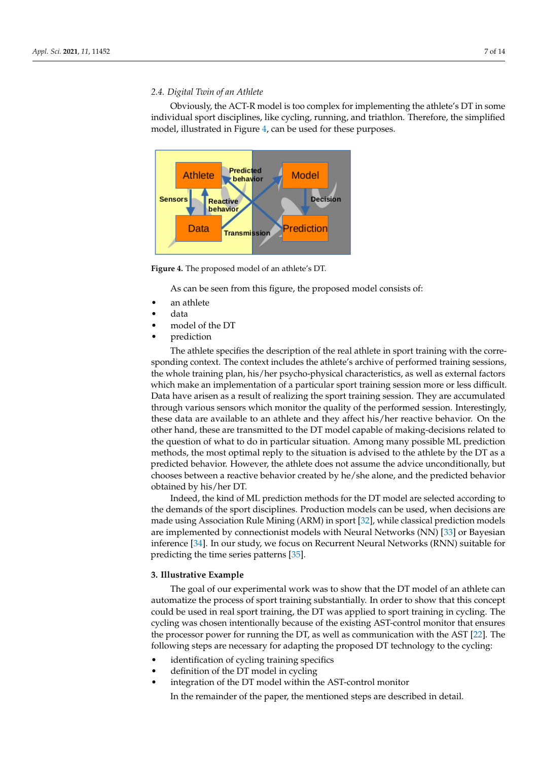## *2.4. Digital Twin of an Athlete*

Obviously, the ACT-R model is too complex for implementing the athlete's DT in some individual sport disciplines, like cycling, running, and triathlon. Therefore, the simplified model, illustrated in Figure [4,](#page-6-1) can be used for these purposes.

<span id="page-6-1"></span>

**Figure 4.** The proposed model of an athlete's DT.

As can be seen from this figure, the proposed model consists of:

- an athlete
- data
- model of the DT
- prediction

The athlete specifies the description of the real athlete in sport training with the corresponding context. The context includes the athlete's archive of performed training sessions, the whole training plan, his/her psycho-physical characteristics, as well as external factors which make an implementation of a particular sport training session more or less difficult. Data have arisen as a result of realizing the sport training session. They are accumulated through various sensors which monitor the quality of the performed session. Interestingly, these data are available to an athlete and they affect his/her reactive behavior. On the other hand, these are transmitted to the DT model capable of making-decisions related to the question of what to do in particular situation. Among many possible ML prediction methods, the most optimal reply to the situation is advised to the athlete by the DT as a predicted behavior. However, the athlete does not assume the advice unconditionally, but chooses between a reactive behavior created by he/she alone, and the predicted behavior obtained by his/her DT.

Indeed, the kind of ML prediction methods for the DT model are selected according to the demands of the sport disciplines. Production models can be used, when decisions are made using Association Rule Mining (ARM) in sport [\[32\]](#page-13-21), while classical prediction models are implemented by connectionist models with Neural Networks (NN) [\[33\]](#page-13-22) or Bayesian inference [\[34\]](#page-13-23). In our study, we focus on Recurrent Neural Networks (RNN) suitable for predicting the time series patterns [\[35\]](#page-13-24).

## <span id="page-6-0"></span>**3. Illustrative Example**

The goal of our experimental work was to show that the DT model of an athlete can automatize the process of sport training substantially. In order to show that this concept could be used in real sport training, the DT was applied to sport training in cycling. The cycling was chosen intentionally because of the existing AST-control monitor that ensures the processor power for running the DT, as well as communication with the AST [\[22\]](#page-13-11). The following steps are necessary for adapting the proposed DT technology to the cycling:

- identification of cycling training specifics
- definition of the DT model in cycling
- integration of the DT model within the AST-control monitor

In the remainder of the paper, the mentioned steps are described in detail.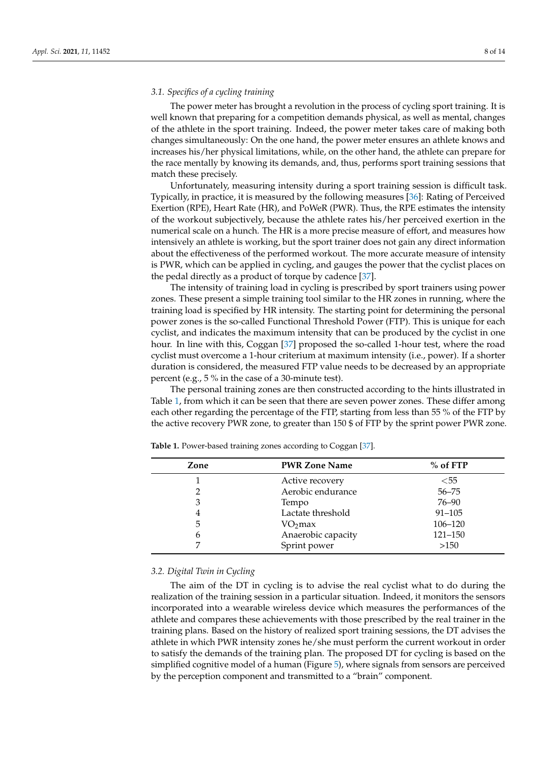### *3.1. Specifics of a cycling training*

The power meter has brought a revolution in the process of cycling sport training. It is well known that preparing for a competition demands physical, as well as mental, changes of the athlete in the sport training. Indeed, the power meter takes care of making both changes simultaneously: On the one hand, the power meter ensures an athlete knows and increases his/her physical limitations, while, on the other hand, the athlete can prepare for the race mentally by knowing its demands, and, thus, performs sport training sessions that match these precisely.

Unfortunately, measuring intensity during a sport training session is difficult task. Typically, in practice, it is measured by the following measures [\[36\]](#page-13-25): Rating of Perceived Exertion (RPE), Heart Rate (HR), and PoWeR (PWR). Thus, the RPE estimates the intensity of the workout subjectively, because the athlete rates his/her perceived exertion in the numerical scale on a hunch. The HR is a more precise measure of effort, and measures how intensively an athlete is working, but the sport trainer does not gain any direct information about the effectiveness of the performed workout. The more accurate measure of intensity is PWR, which can be applied in cycling, and gauges the power that the cyclist places on the pedal directly as a product of torque by cadence [\[37\]](#page-13-26).

The intensity of training load in cycling is prescribed by sport trainers using power zones. These present a simple training tool similar to the HR zones in running, where the training load is specified by HR intensity. The starting point for determining the personal power zones is the so-called Functional Threshold Power (FTP). This is unique for each cyclist, and indicates the maximum intensity that can be produced by the cyclist in one hour. In line with this, Coggan [\[37\]](#page-13-26) proposed the so-called 1-hour test, where the road cyclist must overcome a 1-hour criterium at maximum intensity (i.e., power). If a shorter duration is considered, the measured FTP value needs to be decreased by an appropriate percent (e.g., 5 % in the case of a 30-minute test).

The personal training zones are then constructed according to the hints illustrated in Table [1,](#page-7-0) from which it can be seen that there are seven power zones. These differ among each other regarding the percentage of the FTP, starting from less than 55 % of the FTP by the active recovery PWR zone, to greater than 150 \$ of FTP by the sprint power PWR zone.

| Zone | <b>PWR Zone Name</b> | $%$ of FTP |
|------|----------------------|------------|
|      | Active recovery      | $<$ 55     |
|      | Aerobic endurance    | $56 - 75$  |
|      | Tempo                | 76–90      |
|      | Lactate threshold    | $91 - 105$ |
| 5    | $VO2$ max            | 106-120    |
| 6    | Anaerobic capacity   | 121-150    |
|      | Sprint power         | >150       |

<span id="page-7-0"></span>**Table 1.** Power-based training zones according to Coggan [\[37\]](#page-13-26).

## *3.2. Digital Twin in Cycling*

The aim of the DT in cycling is to advise the real cyclist what to do during the realization of the training session in a particular situation. Indeed, it monitors the sensors incorporated into a wearable wireless device which measures the performances of the athlete and compares these achievements with those prescribed by the real trainer in the training plans. Based on the history of realized sport training sessions, the DT advises the athlete in which PWR intensity zones he/she must perform the current workout in order to satisfy the demands of the training plan. The proposed DT for cycling is based on the simplified cognitive model of a human (Figure [5\)](#page-8-0), where signals from sensors are perceived by the perception component and transmitted to a "brain" component.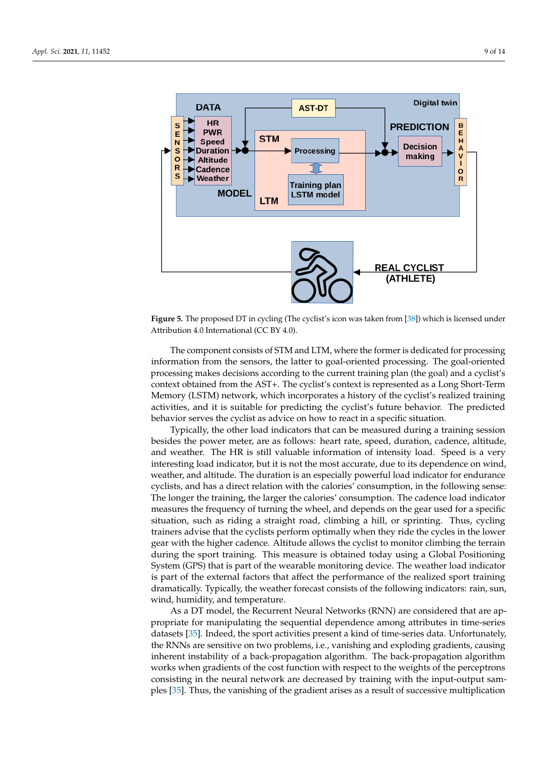<span id="page-8-0"></span>

**Figure 5.** The proposed DT in cycling (The cyclist's icon was taken from [\[38\]](#page-13-27)) which is licensed under Attribution 4.0 International (CC BY 4.0).

The component consists of STM and LTM, where the former is dedicated for processing information from the sensors, the latter to goal-oriented processing. The goal-oriented processing makes decisions according to the current training plan (the goal) and a cyclist's context obtained from the AST+. The cyclist's context is represented as a Long Short-Term Memory (LSTM) network, which incorporates a history of the cyclist's realized training activities, and it is suitable for predicting the cyclist's future behavior. The predicted behavior serves the cyclist as advice on how to react in a specific situation.

Typically, the other load indicators that can be measured during a training session besides the power meter, are as follows: heart rate, speed, duration, cadence, altitude, and weather. The HR is still valuable information of intensity load. Speed is a very interesting load indicator, but it is not the most accurate, due to its dependence on wind, weather, and altitude. The duration is an especially powerful load indicator for endurance cyclists, and has a direct relation with the calories' consumption, in the following sense: The longer the training, the larger the calories' consumption. The cadence load indicator measures the frequency of turning the wheel, and depends on the gear used for a specific situation, such as riding a straight road, climbing a hill, or sprinting. Thus, cycling trainers advise that the cyclists perform optimally when they ride the cycles in the lower gear with the higher cadence. Altitude allows the cyclist to monitor climbing the terrain during the sport training. This measure is obtained today using a Global Positioning System (GPS) that is part of the wearable monitoring device. The weather load indicator is part of the external factors that affect the performance of the realized sport training dramatically. Typically, the weather forecast consists of the following indicators: rain, sun, wind, humidity, and temperature.

As a DT model, the Recurrent Neural Networks (RNN) are considered that are appropriate for manipulating the sequential dependence among attributes in time-series datasets [\[35\]](#page-13-24). Indeed, the sport activities present a kind of time-series data. Unfortunately, the RNNs are sensitive on two problems, i.e., vanishing and exploding gradients, causing inherent instability of a back-propagation algorithm. The back-propagation algorithm works when gradients of the cost function with respect to the weights of the perceptrons consisting in the neural network are decreased by training with the input-output samples [\[35\]](#page-13-24). Thus, the vanishing of the gradient arises as a result of successive multiplication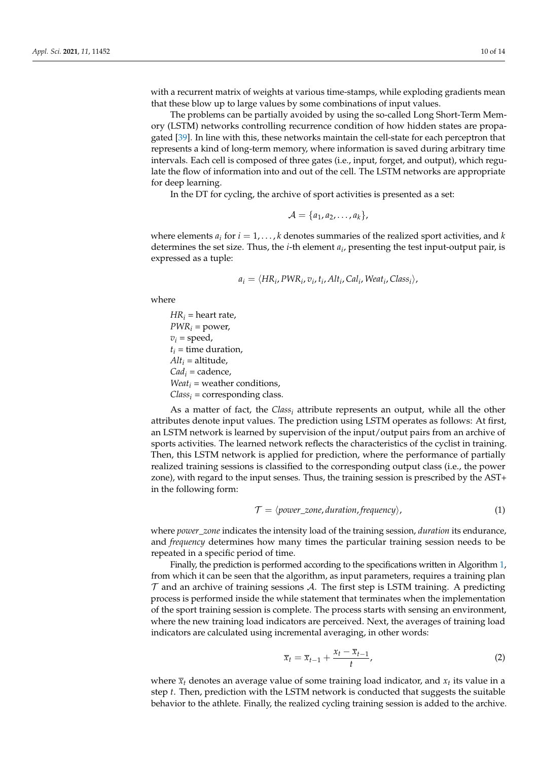with a recurrent matrix of weights at various time-stamps, while exploding gradients mean that these blow up to large values by some combinations of input values.

The problems can be partially avoided by using the so-called Long Short-Term Memory (LSTM) networks controlling recurrence condition of how hidden states are propagated [\[39\]](#page-13-28). In line with this, these networks maintain the cell-state for each perceptron that represents a kind of long-term memory, where information is saved during arbitrary time intervals. Each cell is composed of three gates (i.e., input, forget, and output), which regulate the flow of information into and out of the cell. The LSTM networks are appropriate for deep learning.

In the DT for cycling, the archive of sport activities is presented as a set:

$$
\mathcal{A} = \{a_1, a_2, \ldots, a_k\},\
$$

where elements  $a_i$  for  $i = 1, \ldots, k$  denotes summaries of the realized sport activities, and  $k$ determines the set size. Thus, the *i*-th element *a<sup>i</sup>* , presenting the test input-output pair, is expressed as a tuple:

$$
a_i = \langle HR_i, PWR_i, v_i, t_i, Alt_i, Cal_i, Weak_i, Class_i \rangle,
$$

where

 $HR_i$  = heart rate,  $PWR_i = power$ ,  $v_i$  = speed,  $t_i$  = time duration,  $Alt<sub>i</sub> = altitude,$ *Cad<sup>i</sup>* = cadence, *Weat*<sup>*i*</sup> = weather conditions, *Class<sup>i</sup>* = corresponding class.

As a matter of fact, the *Class<sup>i</sup>* attribute represents an output, while all the other attributes denote input values. The prediction using LSTM operates as follows: At first, an LSTM network is learned by supervision of the input/output pairs from an archive of sports activities. The learned network reflects the characteristics of the cyclist in training. Then, this LSTM network is applied for prediction, where the performance of partially realized training sessions is classified to the corresponding output class (i.e., the power zone), with regard to the input senses. Thus, the training session is prescribed by the AST+ in the following form:

$$
\mathcal{T} = \langle power\_zone, duration, frequency \rangle,
$$
\n(1)

where *power*\_*zone* indicates the intensity load of the training session, *duration* its endurance, and *frequency* determines how many times the particular training session needs to be repeated in a specific period of time.

Finally, the prediction is performed according to the specifications written in Algorithm [1,](#page-10-0) from which it can be seen that the algorithm, as input parameters, requires a training plan  $\tau$  and an archive of training sessions  $\mathcal{A}$ . The first step is LSTM training. A predicting process is performed inside the while statement that terminates when the implementation of the sport training session is complete. The process starts with sensing an environment, where the new training load indicators are perceived. Next, the averages of training load indicators are calculated using incremental averaging, in other words:

$$
\overline{x}_t = \overline{x}_{t-1} + \frac{x_t - \overline{x}_{t-1}}{t},\tag{2}
$$

where  $\overline{x}_t$  denotes an average value of some training load indicator, and  $x_t$  its value in a step *t*. Then, prediction with the LSTM network is conducted that suggests the suitable behavior to the athlete. Finally, the realized cycling training session is added to the archive.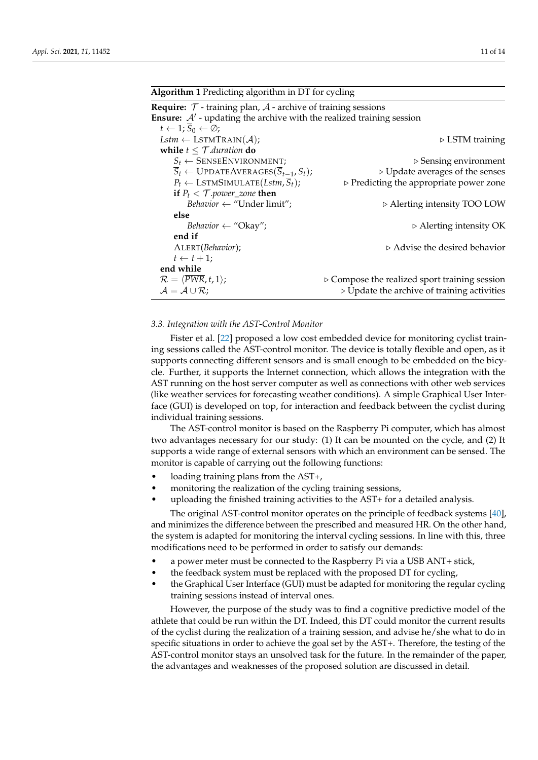### <span id="page-10-0"></span>**Algorithm 1** Predicting algorithm in DT for cycling

| <b>Require:</b> $\mathcal T$ - training plan, $\mathcal A$ - archive of training sessions |                                                              |  |
|-------------------------------------------------------------------------------------------|--------------------------------------------------------------|--|
| <b>Ensure:</b> $A'$ - updating the archive with the realized training session             |                                                              |  |
| $t \leftarrow 1; S_0 \leftarrow \emptyset;$                                               |                                                              |  |
| Lstm $\leftarrow$ LSTMTRAIN( $\mathcal{A}$ );                                             | $\triangleright$ LSTM training                               |  |
| while $t \leq \mathcal{T}.$ duration do                                                   |                                                              |  |
| $S_t \leftarrow$ SENSEENVIRONMENT;                                                        | $\triangleright$ Sensing environment                         |  |
| $\overline{S}_t \leftarrow \text{UPDATEAVERAGES}(\overline{S}_{t-1}, S_t);$               | $\triangleright$ Update averages of the senses               |  |
| $P_t \leftarrow \text{LSTMSIMULATE}(Lstm, \overline{S}_t);$                               | $\triangleright$ Predicting the appropriate power zone       |  |
| if $P_t < T$ power_zone then                                                              |                                                              |  |
| Behavior $\leftarrow$ "Under limit";                                                      | $\triangleright$ Alerting intensity TOO LOW                  |  |
| else                                                                                      |                                                              |  |
| Behavior $\leftarrow$ "Okay";                                                             | $\triangleright$ Alerting intensity OK                       |  |
| end if                                                                                    |                                                              |  |
| ALERT(Behavior);                                                                          | $\triangleright$ Advise the desired behavior                 |  |
| $t \leftarrow t + 1;$                                                                     |                                                              |  |
| end while                                                                                 |                                                              |  |
| $\mathcal{R} = \langle \overline{PWR}, t, 1 \rangle;$                                     | $\triangleright$ Compose the realized sport training session |  |
| $\mathcal{A} = \mathcal{A} \cup \mathcal{R}$ ;                                            | $\triangleright$ Update the archive of training activities   |  |
|                                                                                           |                                                              |  |

#### *3.3. Integration with the AST-Control Monitor*

Fister et al. [\[22\]](#page-13-11) proposed a low cost embedded device for monitoring cyclist training sessions called the AST-control monitor. The device is totally flexible and open, as it supports connecting different sensors and is small enough to be embedded on the bicycle. Further, it supports the Internet connection, which allows the integration with the AST running on the host server computer as well as connections with other web services (like weather services for forecasting weather conditions). A simple Graphical User Interface (GUI) is developed on top, for interaction and feedback between the cyclist during individual training sessions.

The AST-control monitor is based on the Raspberry Pi computer, which has almost two advantages necessary for our study: (1) It can be mounted on the cycle, and (2) It supports a wide range of external sensors with which an environment can be sensed. The monitor is capable of carrying out the following functions:

- loading training plans from the AST+,
- monitoring the realization of the cycling training sessions,
- uploading the finished training activities to the AST+ for a detailed analysis.

The original AST-control monitor operates on the principle of feedback systems [\[40\]](#page-13-29), and minimizes the difference between the prescribed and measured HR. On the other hand, the system is adapted for monitoring the interval cycling sessions. In line with this, three modifications need to be performed in order to satisfy our demands:

- a power meter must be connected to the Raspberry Pi via a USB ANT+ stick,
- the feedback system must be replaced with the proposed DT for cycling,
- the Graphical User Interface (GUI) must be adapted for monitoring the regular cycling training sessions instead of interval ones.

However, the purpose of the study was to find a cognitive predictive model of the athlete that could be run within the DT. Indeed, this DT could monitor the current results of the cyclist during the realization of a training session, and advise he/she what to do in specific situations in order to achieve the goal set by the AST+. Therefore, the testing of the AST-control monitor stays an unsolved task for the future. In the remainder of the paper, the advantages and weaknesses of the proposed solution are discussed in detail.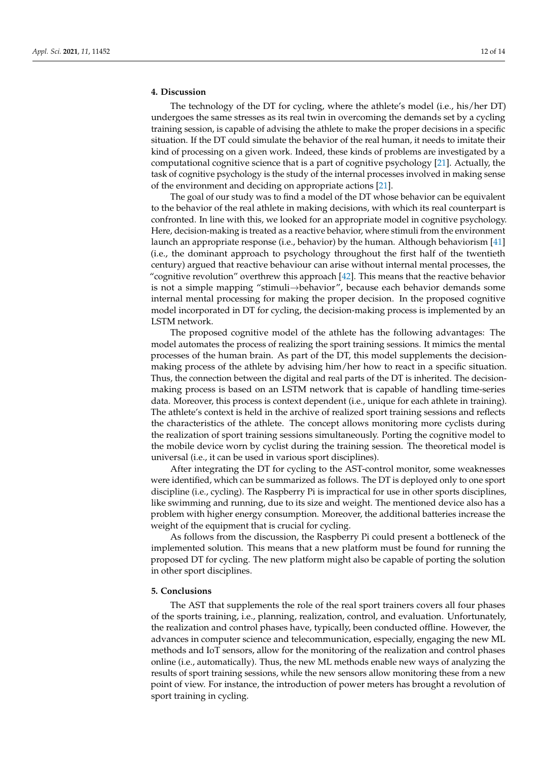# <span id="page-11-0"></span>**4. Discussion**

The technology of the DT for cycling, where the athlete's model (i.e., his/her DT) undergoes the same stresses as its real twin in overcoming the demands set by a cycling training session, is capable of advising the athlete to make the proper decisions in a specific situation. If the DT could simulate the behavior of the real human, it needs to imitate their kind of processing on a given work. Indeed, these kinds of problems are investigated by a computational cognitive science that is a part of cognitive psychology [\[21\]](#page-13-10). Actually, the task of cognitive psychology is the study of the internal processes involved in making sense of the environment and deciding on appropriate actions [\[21\]](#page-13-10).

The goal of our study was to find a model of the DT whose behavior can be equivalent to the behavior of the real athlete in making decisions, with which its real counterpart is confronted. In line with this, we looked for an appropriate model in cognitive psychology. Here, decision-making is treated as a reactive behavior, where stimuli from the environment launch an appropriate response (i.e., behavior) by the human. Although behaviorism [\[41\]](#page-13-30) (i.e., the dominant approach to psychology throughout the first half of the twentieth century) argued that reactive behaviour can arise without internal mental processes, the "cognitive revolution" overthrew this approach [\[42\]](#page-13-31). This means that the reactive behavior is not a simple mapping "stimuli→behavior", because each behavior demands some internal mental processing for making the proper decision. In the proposed cognitive model incorporated in DT for cycling, the decision-making process is implemented by an LSTM network.

The proposed cognitive model of the athlete has the following advantages: The model automates the process of realizing the sport training sessions. It mimics the mental processes of the human brain. As part of the DT, this model supplements the decisionmaking process of the athlete by advising him/her how to react in a specific situation. Thus, the connection between the digital and real parts of the DT is inherited. The decisionmaking process is based on an LSTM network that is capable of handling time-series data. Moreover, this process is context dependent (i.e., unique for each athlete in training). The athlete's context is held in the archive of realized sport training sessions and reflects the characteristics of the athlete. The concept allows monitoring more cyclists during the realization of sport training sessions simultaneously. Porting the cognitive model to the mobile device worn by cyclist during the training session. The theoretical model is universal (i.e., it can be used in various sport disciplines).

After integrating the DT for cycling to the AST-control monitor, some weaknesses were identified, which can be summarized as follows. The DT is deployed only to one sport discipline (i.e., cycling). The Raspberry Pi is impractical for use in other sports disciplines, like swimming and running, due to its size and weight. The mentioned device also has a problem with higher energy consumption. Moreover, the additional batteries increase the weight of the equipment that is crucial for cycling.

As follows from the discussion, the Raspberry Pi could present a bottleneck of the implemented solution. This means that a new platform must be found for running the proposed DT for cycling. The new platform might also be capable of porting the solution in other sport disciplines.

#### <span id="page-11-1"></span>**5. Conclusions**

The AST that supplements the role of the real sport trainers covers all four phases of the sports training, i.e., planning, realization, control, and evaluation. Unfortunately, the realization and control phases have, typically, been conducted offline. However, the advances in computer science and telecommunication, especially, engaging the new ML methods and IoT sensors, allow for the monitoring of the realization and control phases online (i.e., automatically). Thus, the new ML methods enable new ways of analyzing the results of sport training sessions, while the new sensors allow monitoring these from a new point of view. For instance, the introduction of power meters has brought a revolution of sport training in cycling.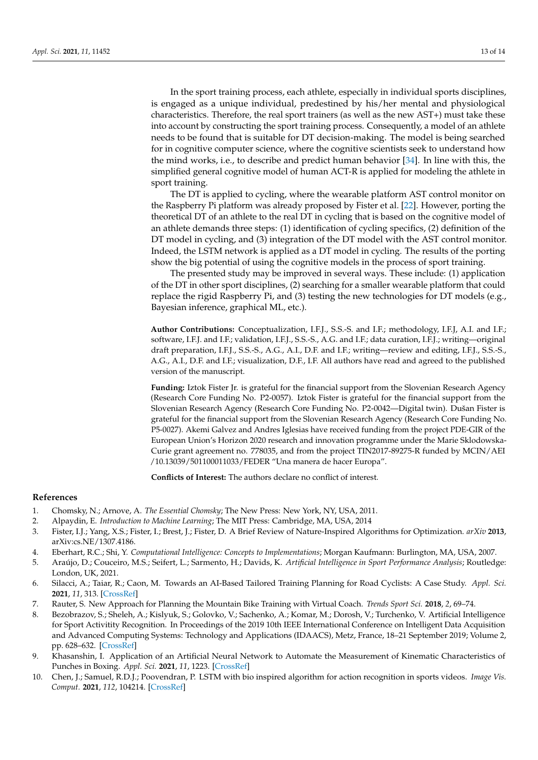In the sport training process, each athlete, especially in individual sports disciplines, is engaged as a unique individual, predestined by his/her mental and physiological characteristics. Therefore, the real sport trainers (as well as the new AST+) must take these into account by constructing the sport training process. Consequently, a model of an athlete needs to be found that is suitable for DT decision-making. The model is being searched for in cognitive computer science, where the cognitive scientists seek to understand how the mind works, i.e., to describe and predict human behavior [\[34\]](#page-13-23). In line with this, the simplified general cognitive model of human ACT-R is applied for modeling the athlete in sport training.

The DT is applied to cycling, where the wearable platform AST control monitor on the Raspberry Pi platform was already proposed by Fister et al. [\[22\]](#page-13-11). However, porting the theoretical DT of an athlete to the real DT in cycling that is based on the cognitive model of an athlete demands three steps: (1) identification of cycling specifics, (2) definition of the DT model in cycling, and (3) integration of the DT model with the AST control monitor. Indeed, the LSTM network is applied as a DT model in cycling. The results of the porting show the big potential of using the cognitive models in the process of sport training.

The presented study may be improved in several ways. These include: (1) application of the DT in other sport disciplines, (2) searching for a smaller wearable platform that could replace the rigid Raspberry Pi, and (3) testing the new technologies for DT models (e.g., Bayesian inference, graphical ML, etc.).

**Author Contributions:** Conceptualization, I.F.J., S.S.-S. and I.F.; methodology, I.F.J, A.I. and I.F.; software, I.F.J. and I.F.; validation, I.F.J., S.S.-S., A.G. and I.F.; data curation, I.F.J.; writing—original draft preparation, I.F.J., S.S.-S., A.G., A.I., D.F. and I.F.; writing—review and editing, I.F.J., S.S.-S., A.G., A.I., D.F. and I.F.; visualization, D.F., I.F. All authors have read and agreed to the published version of the manuscript.

**Funding:** Iztok Fister Jr. is grateful for the financial support from the Slovenian Research Agency (Research Core Funding No. P2-0057). Iztok Fister is grateful for the financial support from the Slovenian Research Agency (Research Core Funding No. P2-0042—Digital twin). Dušan Fister is grateful for the financial support from the Slovenian Research Agency (Research Core Funding No. P5-0027). Akemi Galvez and Andres Iglesias have received funding from the project PDE-GIR of the European Union's Horizon 2020 research and innovation programme under the Marie Sklodowska-Curie grant agreement no. 778035, and from the project TIN2017-89275-R funded by MCIN/AEI /10.13039/501100011033/FEDER "Una manera de hacer Europa".

**Conflicts of Interest:** The authors declare no conflict of interest.

## **References**

- <span id="page-12-0"></span>1. Chomsky, N.; Arnove, A. *The Essential Chomsky*; The New Press: New York, NY, USA, 2011.
- <span id="page-12-1"></span>2. Alpaydin, E. *Introduction to Machine Learning*; The MIT Press: Cambridge, MA, USA, 2014
- <span id="page-12-2"></span>3. Fister, I.J.; Yang, X.S.; Fister, I.; Brest, J.; Fister, D. A Brief Review of Nature-Inspired Algorithms for Optimization. *arXiv* **2013**, arXiv:cs.NE/1307.4186.
- <span id="page-12-3"></span>4. Eberhart, R.C.; Shi, Y. *Computational Intelligence: Concepts to Implementations*; Morgan Kaufmann: Burlington, MA, USA, 2007.
- <span id="page-12-4"></span>5. Araújo, D.; Couceiro, M.S.; Seifert, L.; Sarmento, H.; Davids, K. *Artificial Intelligence in Sport Performance Analysis*; Routledge: London, UK, 2021.
- <span id="page-12-5"></span>6. Silacci, A.; Taiar, R.; Caon, M. Towards an AI-Based Tailored Training Planning for Road Cyclists: A Case Study. *Appl. Sci.* **2021**, *11*, 313. [\[CrossRef\]](http://doi.org/10.3390/app11010313)
- <span id="page-12-6"></span>7. Rauter, S. New Approach for Planning the Mountain Bike Training with Virtual Coach. *Trends Sport Sci.* **2018**, *2*, 69–74.
- <span id="page-12-7"></span>8. Bezobrazov, S.; Sheleh, A.; Kislyuk, S.; Golovko, V.; Sachenko, A.; Komar, M.; Dorosh, V.; Turchenko, V. Artificial Intelligence for Sport Activitity Recognition. In Proceedings of the 2019 10th IEEE International Conference on Intelligent Data Acquisition and Advanced Computing Systems: Technology and Applications (IDAACS), Metz, France, 18–21 September 2019; Volume 2, pp. 628–632. [\[CrossRef\]](http://dx.doi.org/10.1109/IDAACS.2019.8924243)
- <span id="page-12-8"></span>9. Khasanshin, I. Application of an Artificial Neural Network to Automate the Measurement of Kinematic Characteristics of Punches in Boxing. *Appl. Sci.* **2021**, *11*, 1223. [\[CrossRef\]](http://dx.doi.org/10.3390/app11031223)
- <span id="page-12-9"></span>10. Chen, J.; Samuel, R.D.J.; Poovendran, P. LSTM with bio inspired algorithm for action recognition in sports videos. *Image Vis. Comput.* **2021**, *112*, 104214. [\[CrossRef\]](http://dx.doi.org/10.1016/j.imavis.2021.104214)